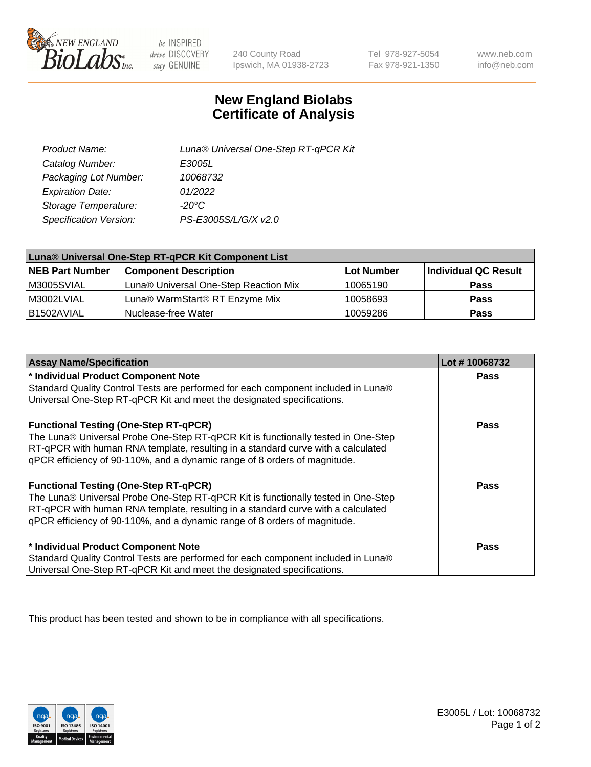

 $be$  INSPIRED drive DISCOVERY stay GENUINE

240 County Road Ipswich, MA 01938-2723

Tel 978-927-5054 Fax 978-921-1350

www.neb.com info@neb.com

## **New England Biolabs Certificate of Analysis**

| Product Name:           | Luna® Universal One-Step RT-qPCR Kit |
|-------------------------|--------------------------------------|
| Catalog Number:         | E3005L                               |
| Packaging Lot Number:   | 10068732                             |
| <b>Expiration Date:</b> | 01/2022                              |
| Storage Temperature:    | $-20^{\circ}$ C                      |
| Specification Version:  | PS-E3005S/L/G/X v2.0                 |

| Luna® Universal One-Step RT-qPCR Kit Component List |                                       |            |                      |  |
|-----------------------------------------------------|---------------------------------------|------------|----------------------|--|
| <b>NEB Part Number</b>                              | <b>Component Description</b>          | Lot Number | Individual QC Result |  |
| M3005SVIAL                                          | Luna® Universal One-Step Reaction Mix | 10065190   | <b>Pass</b>          |  |
| M3002LVIAL                                          | Luna® WarmStart® RT Enzyme Mix        | 10058693   | <b>Pass</b>          |  |
| B1502AVIAL                                          | Nuclease-free Water                   | 10059286   | <b>Pass</b>          |  |

| <b>Assay Name/Specification</b>                                                   | Lot #10068732 |
|-----------------------------------------------------------------------------------|---------------|
| * Individual Product Component Note                                               | <b>Pass</b>   |
| Standard Quality Control Tests are performed for each component included in Luna® |               |
| Universal One-Step RT-qPCR Kit and meet the designated specifications.            |               |
| <b>Functional Testing (One-Step RT-qPCR)</b>                                      | Pass          |
| The Luna® Universal Probe One-Step RT-qPCR Kit is functionally tested in One-Step |               |
| RT-qPCR with human RNA template, resulting in a standard curve with a calculated  |               |
| gPCR efficiency of 90-110%, and a dynamic range of 8 orders of magnitude.         |               |
| <b>Functional Testing (One-Step RT-qPCR)</b>                                      | Pass          |
| The Luna® Universal Probe One-Step RT-qPCR Kit is functionally tested in One-Step |               |
| RT-qPCR with human RNA template, resulting in a standard curve with a calculated  |               |
| qPCR efficiency of 90-110%, and a dynamic range of 8 orders of magnitude.         |               |
| * Individual Product Component Note                                               | <b>Pass</b>   |
| Standard Quality Control Tests are performed for each component included in Luna® |               |
| Universal One-Step RT-qPCR Kit and meet the designated specifications.            |               |

This product has been tested and shown to be in compliance with all specifications.